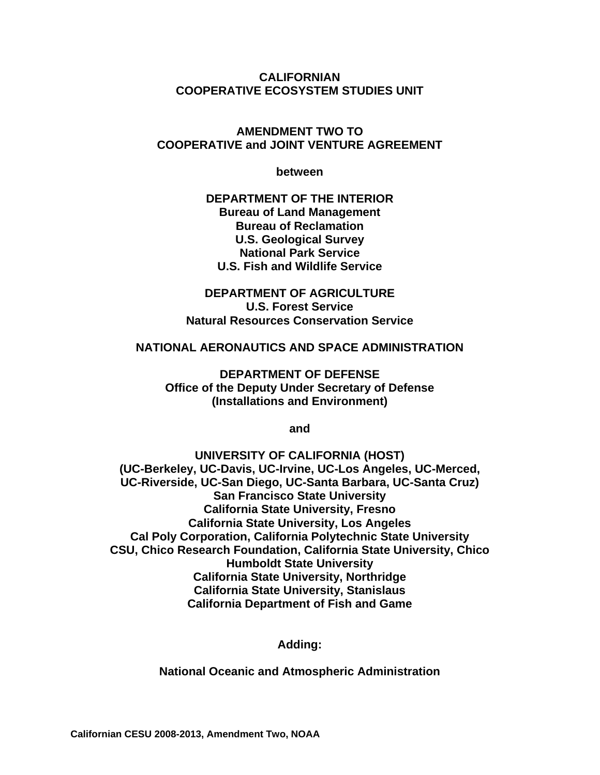**CALIFORNIAN COOPERATIVE ECOSYSTEM STUDIES UNIT** 

#### **AMENDMENT TWO TO COOPERATIVE and JOINT VENTURE AGREEMENT**

**between** 

**DEPARTMENT OF THE INTERIOR Bureau of Land Management Bureau of Reclamation U.S. Geological Survey National Park Service U.S. Fish and Wildlife Service** 

**DEPARTMENT OF AGRICULTURE U.S. Forest Service Natural Resources Conservation Service** 

#### **NATIONAL AERONAUTICS AND SPACE ADMINISTRATION**

**DEPARTMENT OF DEFENSE Office of the Deputy Under Secretary of Defense (Installations and Environment)** 

**and** 

**UNIVERSITY OF CALIFORNIA (HOST) (UC-Berkeley, UC-Davis, UC-Irvine, UC-Los Angeles, UC-Merced, UC-Riverside, UC-San Diego, UC-Santa Barbara, UC-Santa Cruz) San Francisco State University California State University, Fresno California State University, Los Angeles Cal Poly Corporation, California Polytechnic State University CSU, Chico Research Foundation, California State University, Chico Humboldt State University California State University, Northridge California State University, Stanislaus California Department of Fish and Game** 

**Adding:** 

**National Oceanic and Atmospheric Administration**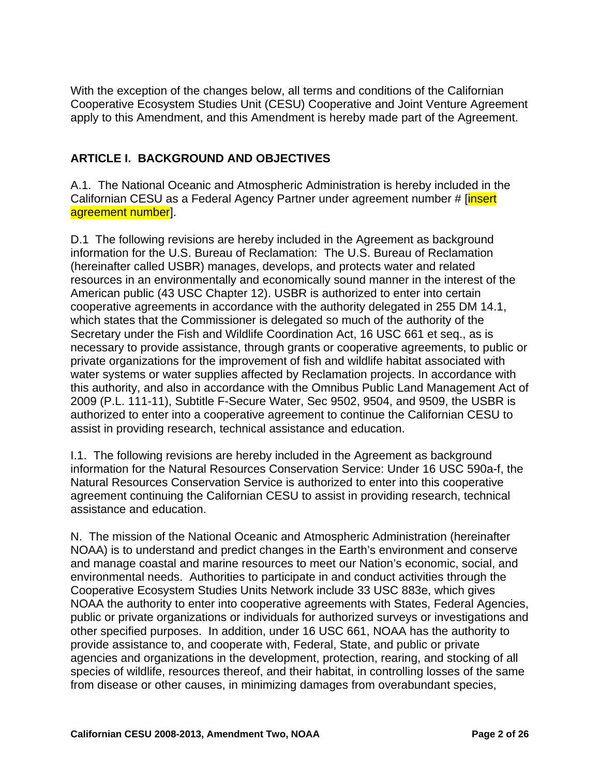With the exception of the changes below, all terms and conditions of the Californian Cooperative Ecosystem Studies Unit (CESU) Cooperative and Joint Venture Agreement apply to this Amendment, and this Amendment is hereby made part of the Agreement.

#### **ARTICLE I. BACKGROUND AND OBJECTIVES**

A.1. The National Oceanic and Atmospheric Administration is hereby included in the Californian CESU as a Federal Agency Partner under agreement number # [insert] agreement numberl.

D.1 The following revisions are hereby included in the Agreement as background information for the U.S. Bureau of Reclamation: The U.S. Bureau of Reclamation (hereinafter called USBR) manages, develops, and protects water and related resources in an environmentally and economically sound manner in the interest of the American public (43 USC Chapter 12). USBR is authorized to enter into certain cooperative agreements in accordance with the authority delegated in 255 DM 14.1, which states that the Commissioner is delegated so much of the authority of the Secretary under the Fish and Wildlife Coordination Act, 16 USC 661 et seq., as is necessary to provide assistance, through grants or cooperative agreements, to public or private organizations for the improvement of fish and wildlife habitat associated with water systems or water supplies affected by Reclamation projects. In accordance with this authority, and also in accordance with the Omnibus Public Land Management Act of 2009 (P.L. 111-11), Subtitle F-Secure Water, Sec 9502, 9504, and 9509, the USBR is authorized to enter into a cooperative agreement to continue the Californian CESU to assist in providing research, technical assistance and education.

I.1. The following revisions are hereby included in the Agreement as background information for the Natural Resources Conservation Service: Under 16 USC 590a-f, the Natural Resources Conservation Service is authorized to enter into this cooperative agreement continuing the Californian CESU to assist in providing research, technical assistance and education.

N. The mission of the National Oceanic and Atmospheric Administration (hereinafter NOAA) is to understand and predict changes in the Earth's environment and conserve and manage coastal and marine resources to meet our Nation's economic, social, and environmental needs. Authorities to participate in and conduct activities through the Cooperative Ecosystem Studies Units Network include 33 USC 883e, which gives NOAA the authority to enter into cooperative agreements with States, Federal Agencies, public or private organizations or individuals for authorized surveys or investigations and other specified purposes. In addition, under 16 USC 661, NOAA has the authority to provide assistance to, and cooperate with, Federal, State, and public or private agencies and organizations in the development, protection, rearing, and stocking of all species of wildlife, resources thereof, and their habitat, in controlling losses of the same from disease or other causes, in minimizing damages from overabundant species,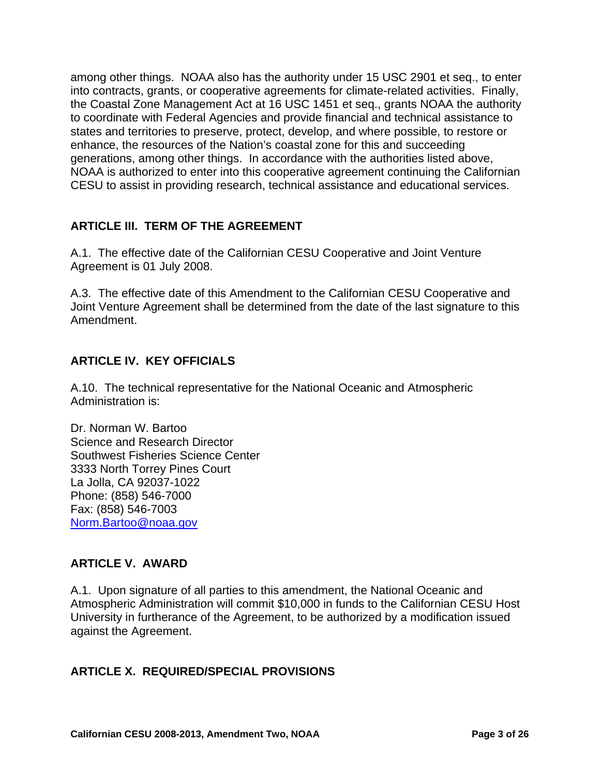among other things. NOAA also has the authority under 15 USC 2901 et seq., to enter into contracts, grants, or cooperative agreements for climate-related activities. Finally, the Coastal Zone Management Act at 16 USC 1451 et seq., grants NOAA the authority to coordinate with Federal Agencies and provide financial and technical assistance to states and territories to preserve, protect, develop, and where possible, to restore or enhance, the resources of the Nation's coastal zone for this and succeeding generations, among other things. In accordance with the authorities listed above, NOAA is authorized to enter into this cooperative agreement continuing the Californian CESU to assist in providing research, technical assistance and educational services.

#### **ARTICLE III. TERM OF THE AGREEMENT**

A.1. The effective date of the Californian CESU Cooperative and Joint Venture Agreement is 01 July 2008.

A.3. The effective date of this Amendment to the Californian CESU Cooperative and Joint Venture Agreement shall be determined from the date of the last signature to this Amendment.

#### **ARTICLE IV. KEY OFFICIALS**

A.10. The technical representative for the National Oceanic and Atmospheric Administration is:

Dr. Norman W. Bartoo Science and Research Director Southwest Fisheries Science Center 3333 North Torrey Pines Court La Jolla, CA 92037-1022 Phone: (858) 546-7000 Fax: (858) 546-7003 Norm.Bartoo@noaa.gov

#### **ARTICLE V. AWARD**

A.1. Upon signature of all parties to this amendment, the National Oceanic and Atmospheric Administration will commit \$10,000 in funds to the Californian CESU Host University in furtherance of the Agreement, to be authorized by a modification issued against the Agreement.

#### **ARTICLE X. REQUIRED/SPECIAL PROVISIONS**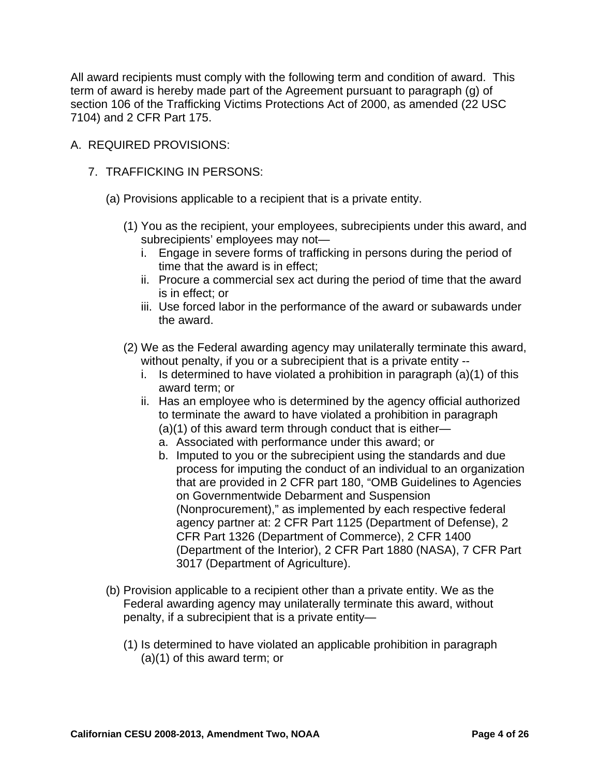All award recipients must comply with the following term and condition of award. This term of award is hereby made part of the Agreement pursuant to paragraph (g) of section 106 of the Trafficking Victims Protections Act of 2000, as amended (22 USC 7104) and 2 CFR Part 175.

- A. REQUIRED PROVISIONS:
	- 7. TRAFFICKING IN PERSONS:
		- (a) Provisions applicable to a recipient that is a private entity.
			- (1) You as the recipient, your employees, subrecipients under this award, and subrecipients' employees may not
				- i. Engage in severe forms of trafficking in persons during the period of time that the award is in effect;
				- ii. Procure a commercial sex act during the period of time that the award is in effect; or
				- iii. Use forced labor in the performance of the award or subawards under the award.
			- (2) We as the Federal awarding agency may unilaterally terminate this award, without penalty, if you or a subrecipient that is a private entity -
				- i. Is determined to have violated a prohibition in paragraph (a)(1) of this award term; or
				- ii. Has an employee who is determined by the agency official authorized to terminate the award to have violated a prohibition in paragraph (a)(1) of this award term through conduct that is either
					- a. Associated with performance under this award; or
					- b. Imputed to you or the subrecipient using the standards and due process for imputing the conduct of an individual to an organization that are provided in 2 CFR part 180, "OMB Guidelines to Agencies on Governmentwide Debarment and Suspension (Nonprocurement)," as implemented by each respective federal agency partner at: 2 CFR Part 1125 (Department of Defense), 2 CFR Part 1326 (Department of Commerce), 2 CFR 1400 (Department of the Interior), 2 CFR Part 1880 (NASA), 7 CFR Part 3017 (Department of Agriculture).
		- (b) Provision applicable to a recipient other than a private entity. We as the Federal awarding agency may unilaterally terminate this award, without penalty, if a subrecipient that is a private entity—
			- (1) Is determined to have violated an applicable prohibition in paragraph (a)(1) of this award term; or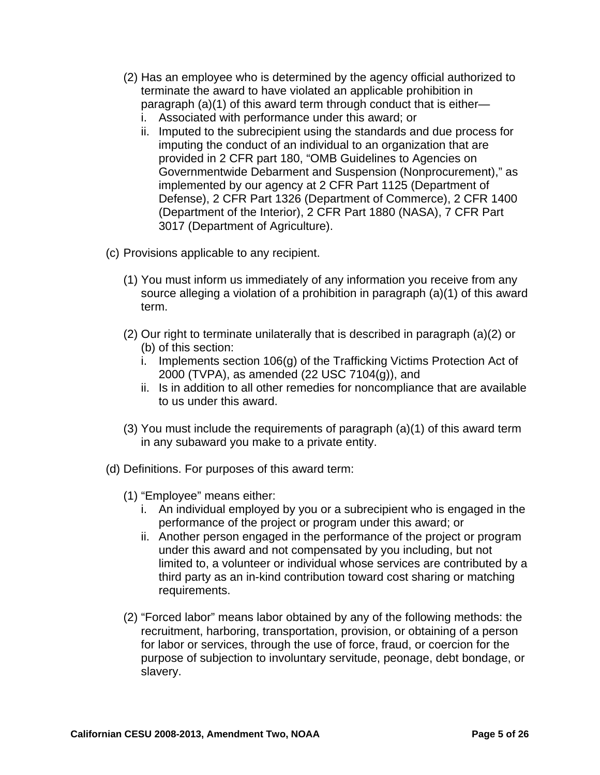- (2) Has an employee who is determined by the agency official authorized to terminate the award to have violated an applicable prohibition in paragraph (a)(1) of this award term through conduct that is either
	- i. Associated with performance under this award; or
	- ii. Imputed to the subrecipient using the standards and due process for imputing the conduct of an individual to an organization that are provided in 2 CFR part 180, "OMB Guidelines to Agencies on Governmentwide Debarment and Suspension (Nonprocurement)," as implemented by our agency at 2 CFR Part 1125 (Department of Defense), 2 CFR Part 1326 (Department of Commerce), 2 CFR 1400 (Department of the Interior), 2 CFR Part 1880 (NASA), 7 CFR Part 3017 (Department of Agriculture).
- (c) Provisions applicable to any recipient.
	- (1) You must inform us immediately of any information you receive from any source alleging a violation of a prohibition in paragraph (a)(1) of this award term.
	- (2) Our right to terminate unilaterally that is described in paragraph (a)(2) or (b) of this section:
		- i. Implements section 106(g) of the Trafficking Victims Protection Act of 2000 (TVPA), as amended (22 USC 7104(g)), and
		- ii. Is in addition to all other remedies for noncompliance that are available to us under this award.
	- (3) You must include the requirements of paragraph (a)(1) of this award term in any subaward you make to a private entity.
- (d) Definitions. For purposes of this award term:
	- (1) "Employee" means either:
		- i. An individual employed by you or a subrecipient who is engaged in the performance of the project or program under this award; or
		- ii. Another person engaged in the performance of the project or program under this award and not compensated by you including, but not limited to, a volunteer or individual whose services are contributed by a third party as an in-kind contribution toward cost sharing or matching requirements.
	- (2) "Forced labor" means labor obtained by any of the following methods: the recruitment, harboring, transportation, provision, or obtaining of a person for labor or services, through the use of force, fraud, or coercion for the purpose of subjection to involuntary servitude, peonage, debt bondage, or slavery.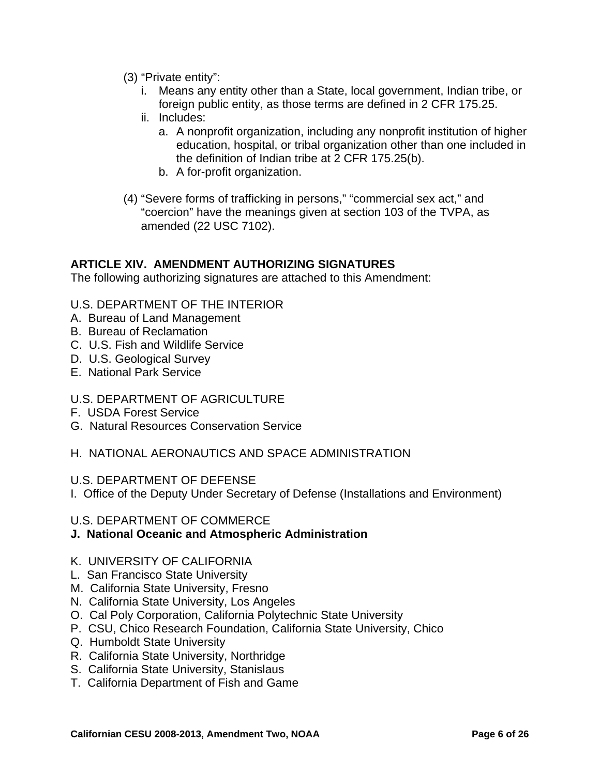- (3) "Private entity":
	- i. Means any entity other than a State, local government, Indian tribe, or foreign public entity, as those terms are defined in 2 CFR 175.25.
	- ii. Includes:
		- a. A nonprofit organization, including any nonprofit institution of higher education, hospital, or tribal organization other than one included in the definition of Indian tribe at 2 CFR 175.25(b).
		- b. A for-profit organization.
- (4) "Severe forms of trafficking in persons," "commercial sex act," and "coercion" have the meanings given at section 103 of the TVPA, as amended (22 USC 7102).

The following authorizing signatures are attached to this Amendment:

#### U.S. DEPARTMENT OF THE INTERIOR

- A. Bureau of Land Management
- B. Bureau of Reclamation
- C. U.S. Fish and Wildlife Service
- D. U.S. Geological Survey
- E. National Park Service

#### U.S. DEPARTMENT OF AGRICULTURE

- F. USDA Forest Service
- G. Natural Resources Conservation Service
- H. NATIONAL AERONAUTICS AND SPACE ADMINISTRATION

#### U.S. DEPARTMENT OF DEFENSE

I. Office of the Deputy Under Secretary of Defense (Installations and Environment)

#### U.S. DEPARTMENT OF COMMERCE

#### **J. National Oceanic and Atmospheric Administration**

#### K. UNIVERSITY OF CALIFORNIA

- L. San Francisco State University
- M. California State University, Fresno
- N. California State University, Los Angeles
- O. Cal Poly Corporation, California Polytechnic State University
- P. CSU, Chico Research Foundation, California State University, Chico
- Q. Humboldt State University
- R. California State University, Northridge
- S. California State University, Stanislaus
- T. California Department of Fish and Game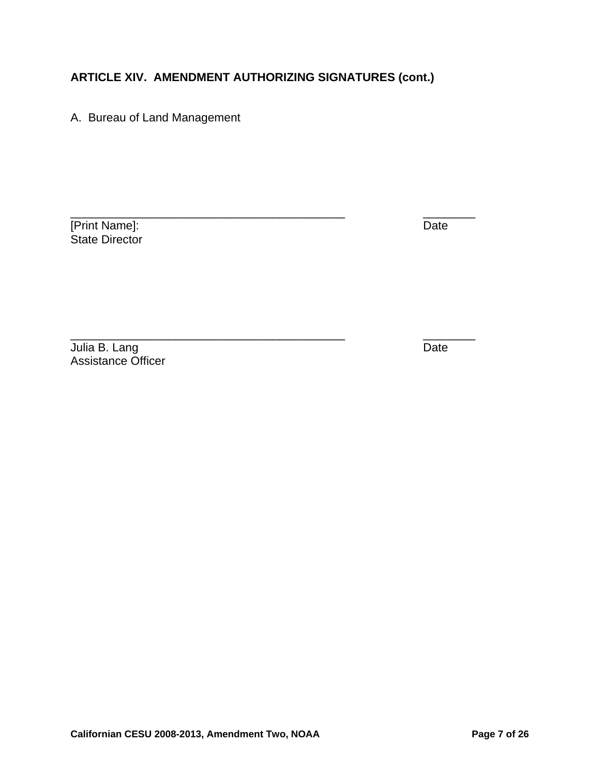\_\_\_\_\_\_\_\_\_\_\_\_\_\_\_\_\_\_\_\_\_\_\_\_\_\_\_\_\_\_\_\_\_\_\_\_\_\_\_\_\_\_ \_\_\_\_\_\_\_\_

A. Bureau of Land Management

**The Term of Terms** Terms of Terms and Terms of Terms Indians of Terms In the United States of Terms In the United States of Terms In the United States of Terms In the United States of Terms In the United States of Terms I State Director

Julia B. Lang Date Communication of the Date Communication of the Date Communication of the Date Assistance Officer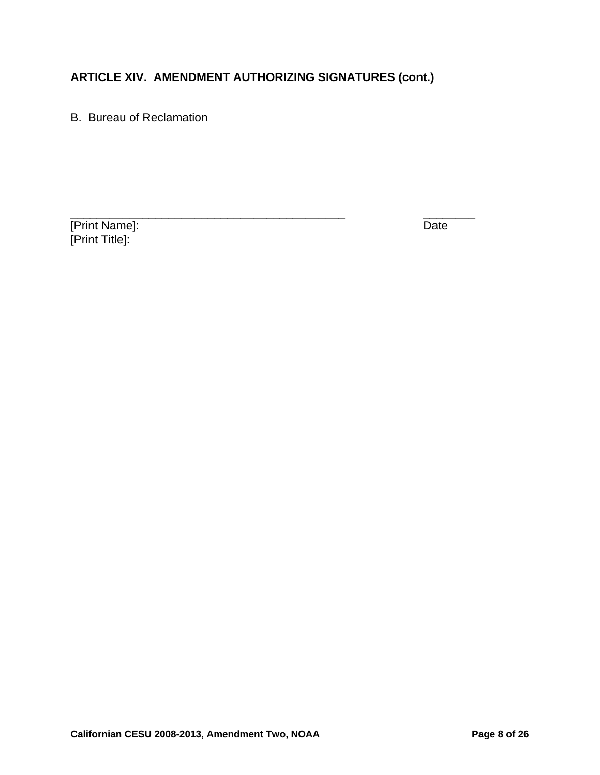B. Bureau of Reclamation

[Print Name]: Date [Print Title]: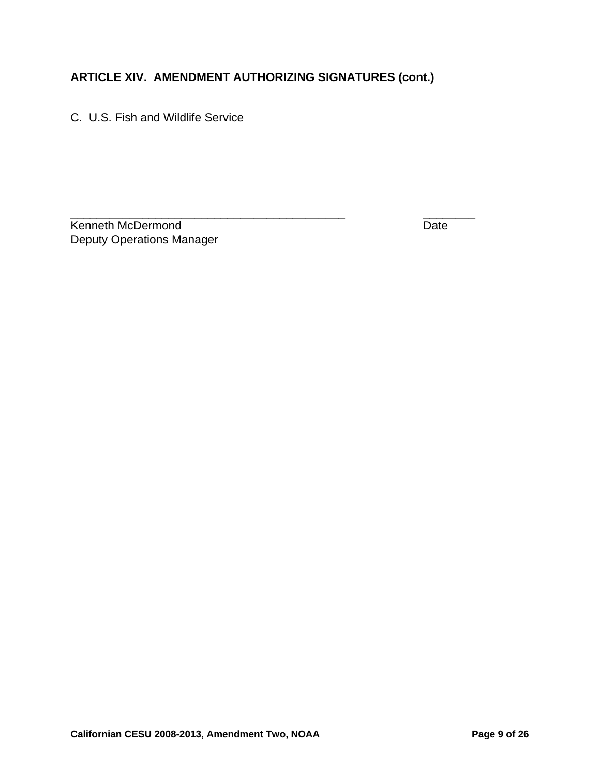C. U.S. Fish and Wildlife Service

\_\_\_\_\_\_\_\_\_\_\_\_\_\_\_\_\_\_\_\_\_\_\_\_\_\_\_\_\_\_\_\_\_\_\_\_\_\_\_\_\_\_ \_\_\_\_\_\_\_\_ Kenneth McDermond **Date** Deputy Operations Manager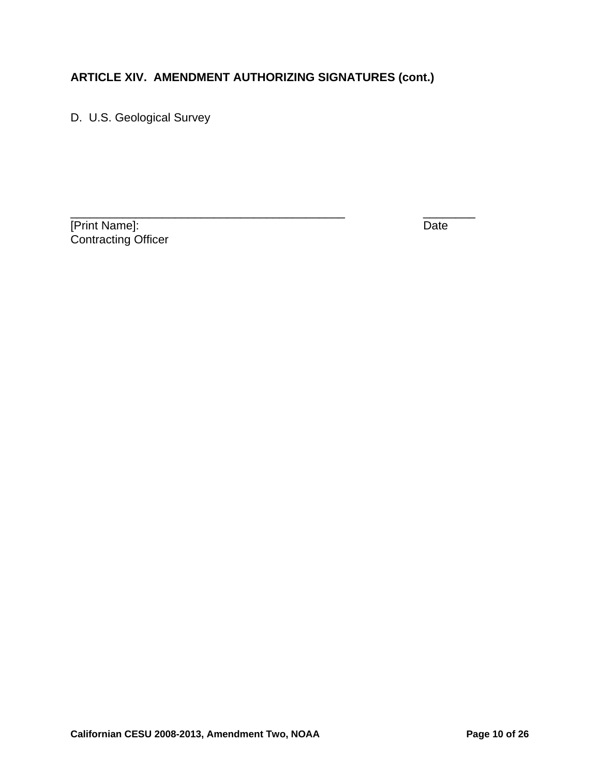D. U.S. Geological Survey

[Print Name]: Date Contracting Officer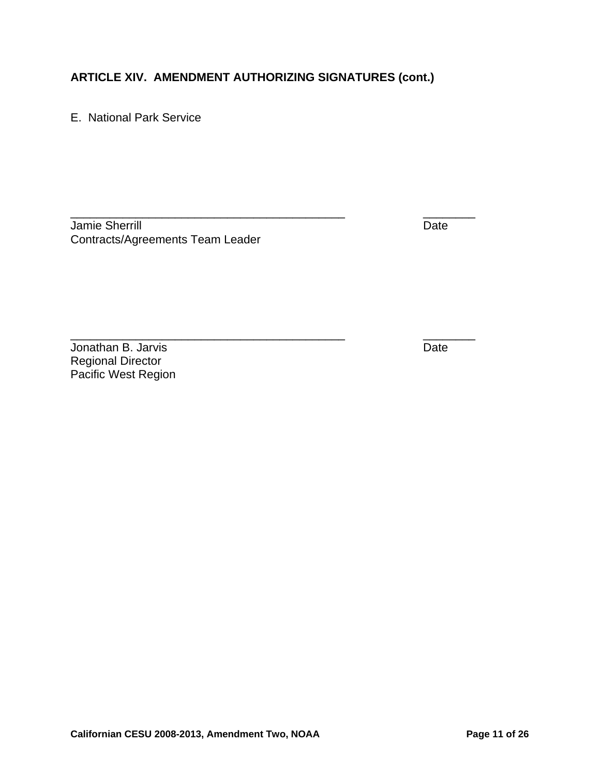\_\_\_\_\_\_\_\_\_\_\_\_\_\_\_\_\_\_\_\_\_\_\_\_\_\_\_\_\_\_\_\_\_\_\_\_\_\_\_\_\_\_ \_\_\_\_\_\_\_\_

E. National Park Service

Jamie Sherrill Date Communication of the Date Date Date Date Contracts/Agreements Team Leader

**Jonathan B. Jarvis** Date Regional Director Pacific West Region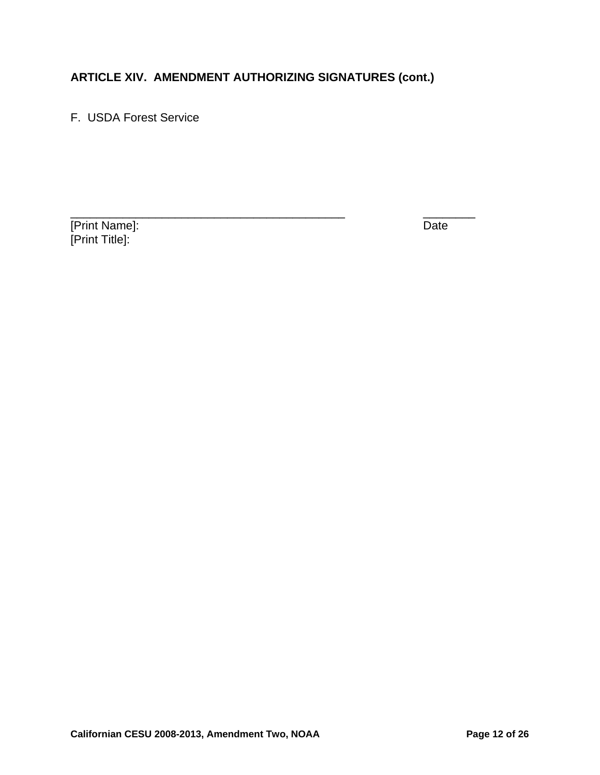F. USDA Forest Service

[Print Name]: Date [Print Title]: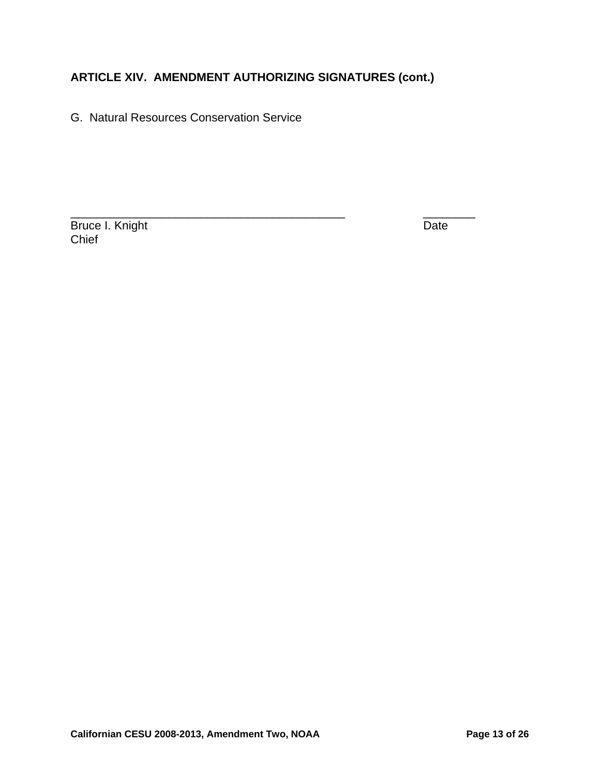G. Natural Resources Conservation Service

Bruce I. Knight **Date** Chief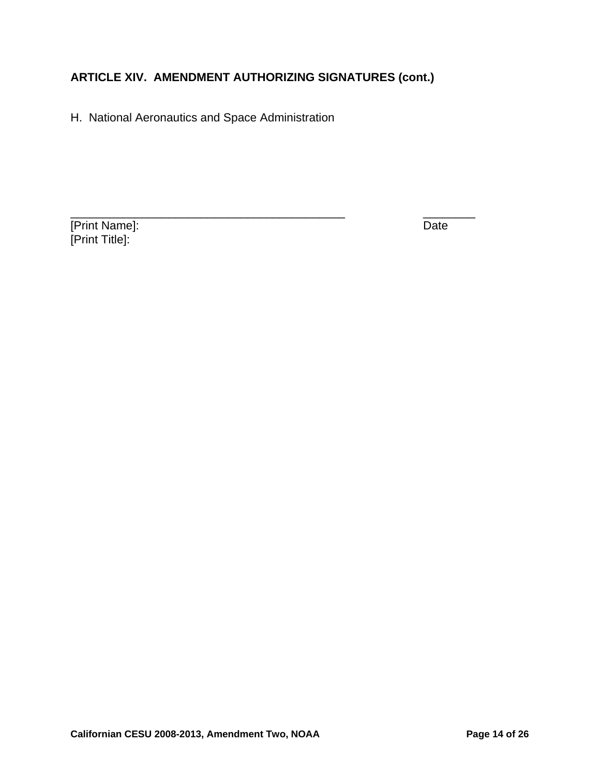H. National Aeronautics and Space Administration

[Print Name]: Date [Print Title]: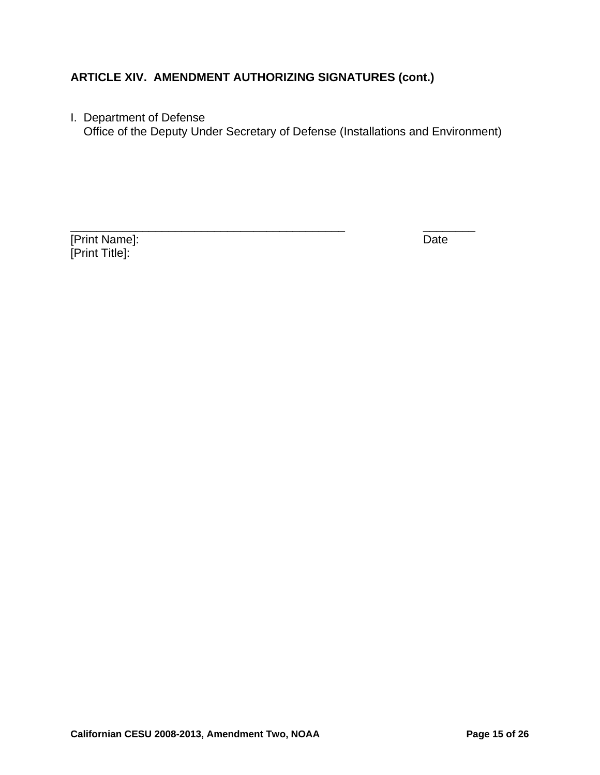I. Department of Defense

Office of the Deputy Under Secretary of Defense (Installations and Environment)

[Print Name]: Date [Print Title]: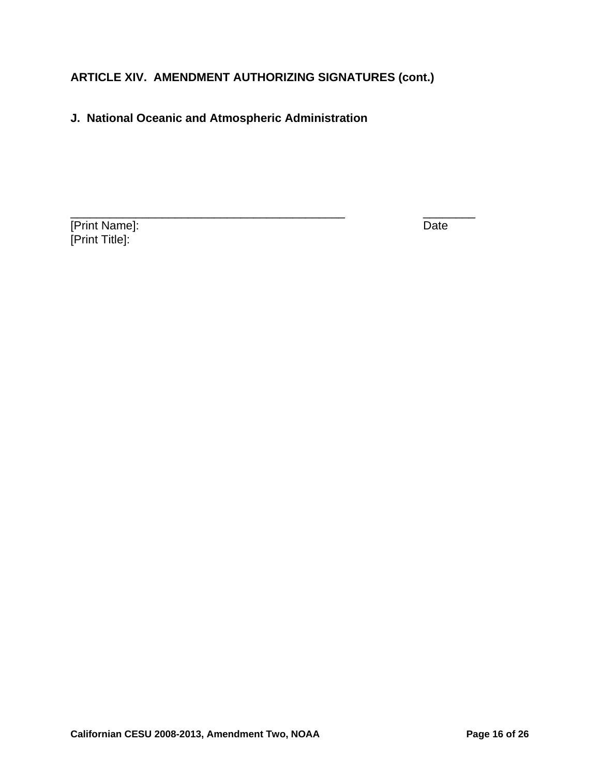#### **J. National Oceanic and Atmospheric Administration**

**The Term of Terms** Terms of Terms Terms Terms Terms Terms Terms Terms Terms Terms Terms Terms Terms Terms Terms Terms Terms Terms Terms Terms Terms Terms Terms Terms Terms Terms Terms Terms Terms Terms Terms Terms Terms T [Print Title]: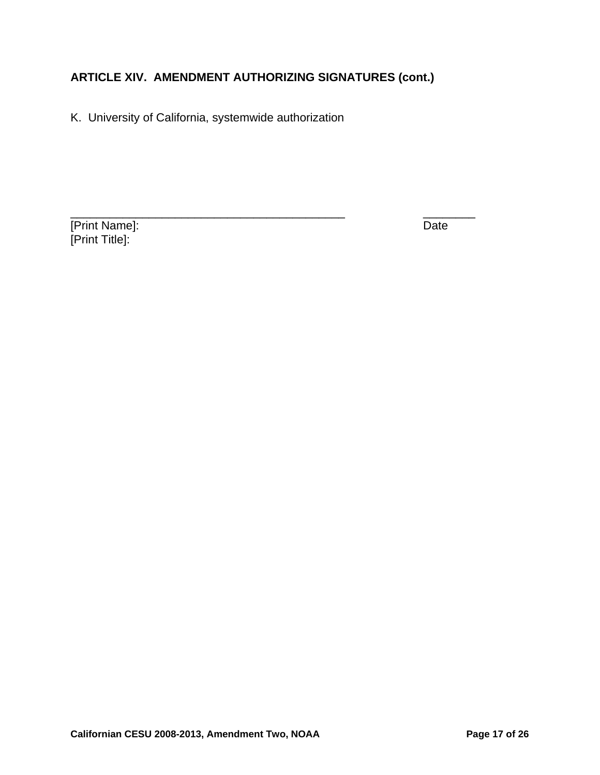K. University of California, systemwide authorization

[Print Name]: Date [Print Title]: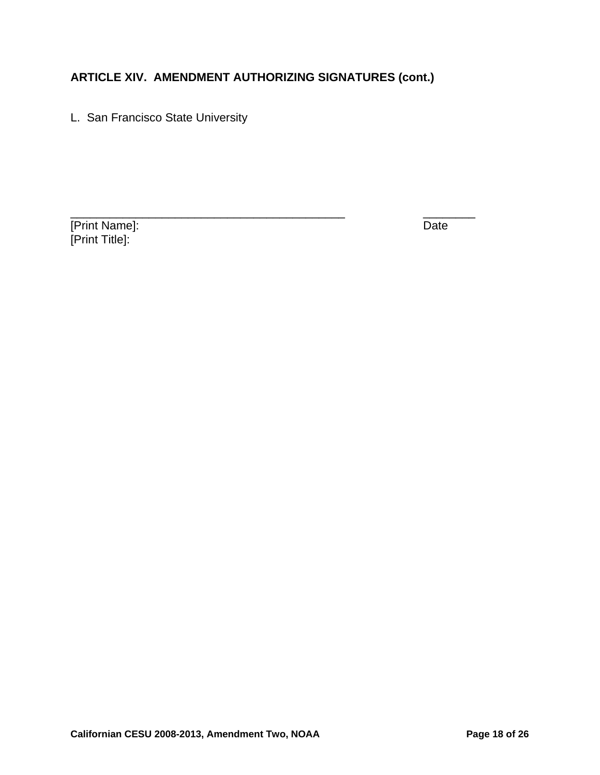L. San Francisco State University

[Print Name]: Date [Print Title]: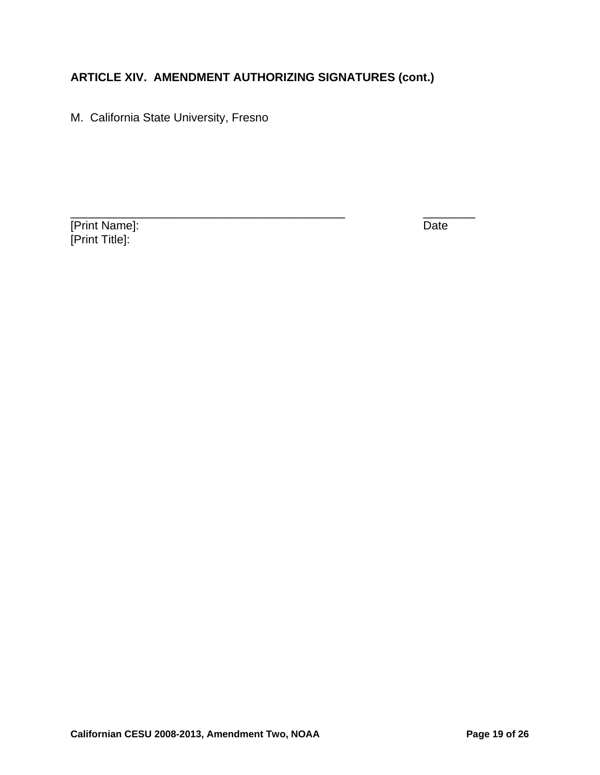M. California State University, Fresno

[Print Name]: Date [Print Title]: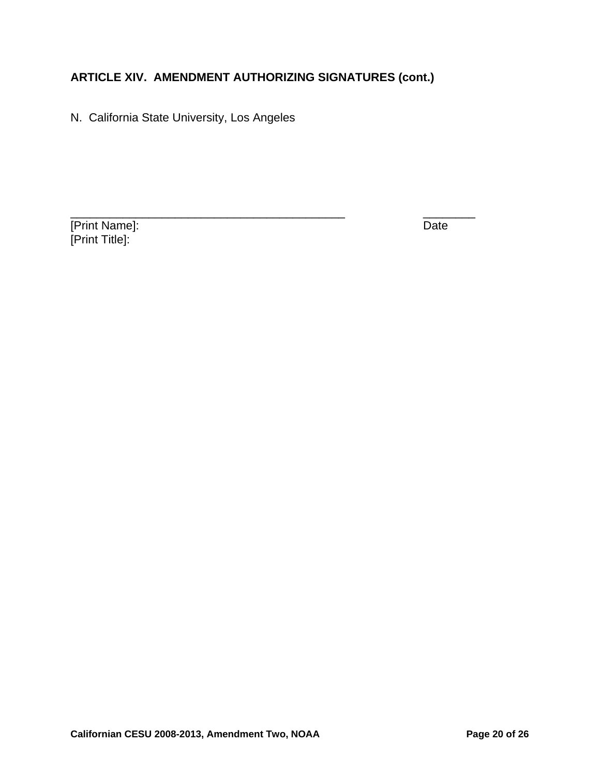N. California State University, Los Angeles

[Print Name]: Date [Print Title]: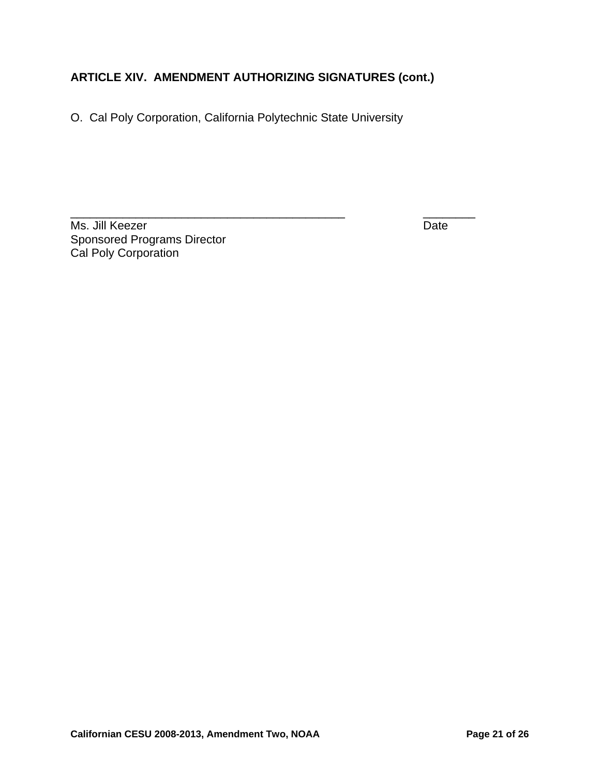O. Cal Poly Corporation, California Polytechnic State University

Ms. Jill Keezer Date Sponsored Programs Director Cal Poly Corporation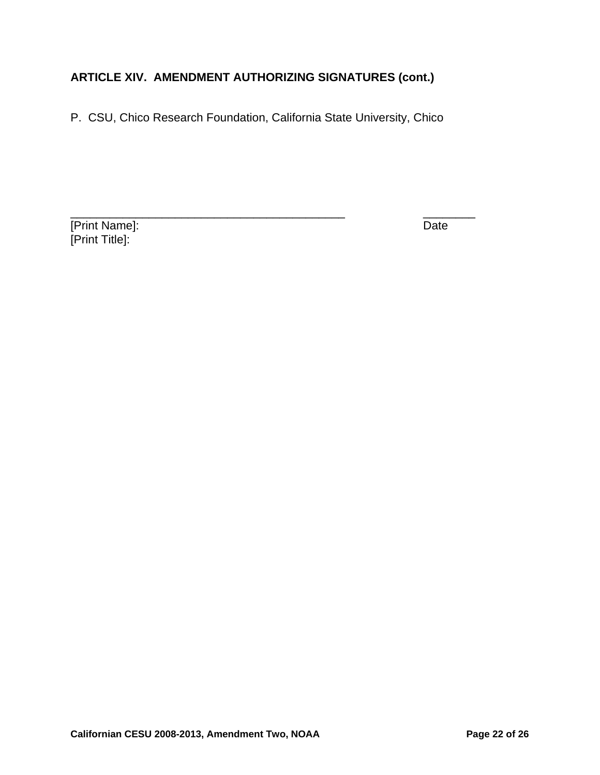P. CSU, Chico Research Foundation, California State University, Chico

**The Term of Terms** Terms of Terms and Terms of Terms Indians of Terms In the United States of Terms In the United States of Terms In the United States of Terms In the United States of Terms In the United States of Terms I [Print Title]: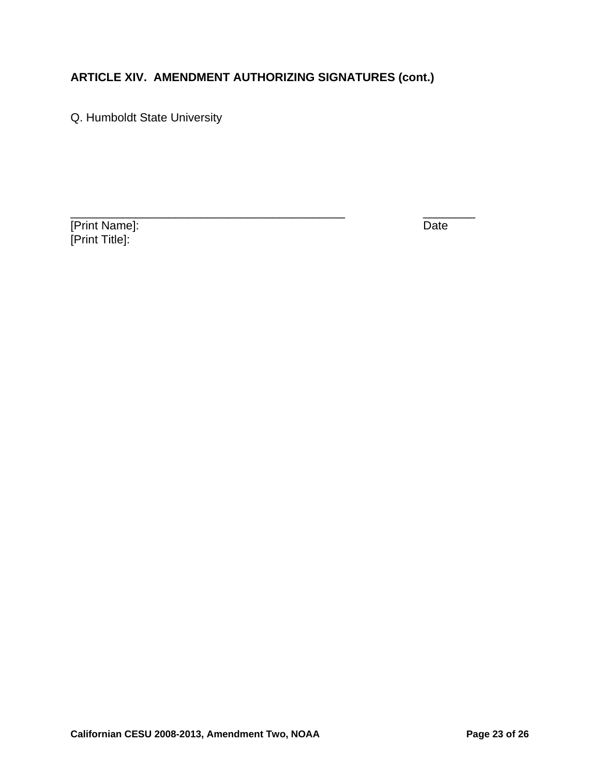Q. Humboldt State University

[Print Name]: Date [Print Title]: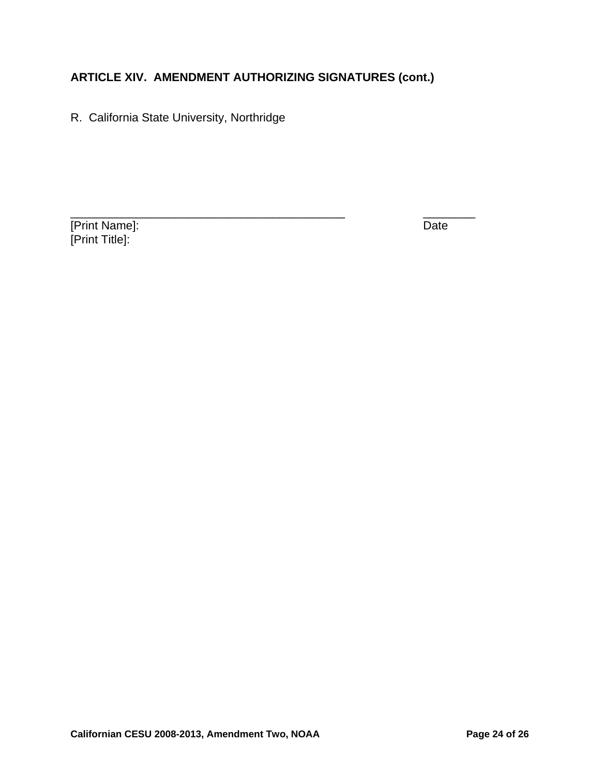R. California State University, Northridge

[Print Name]: Date [Print Title]: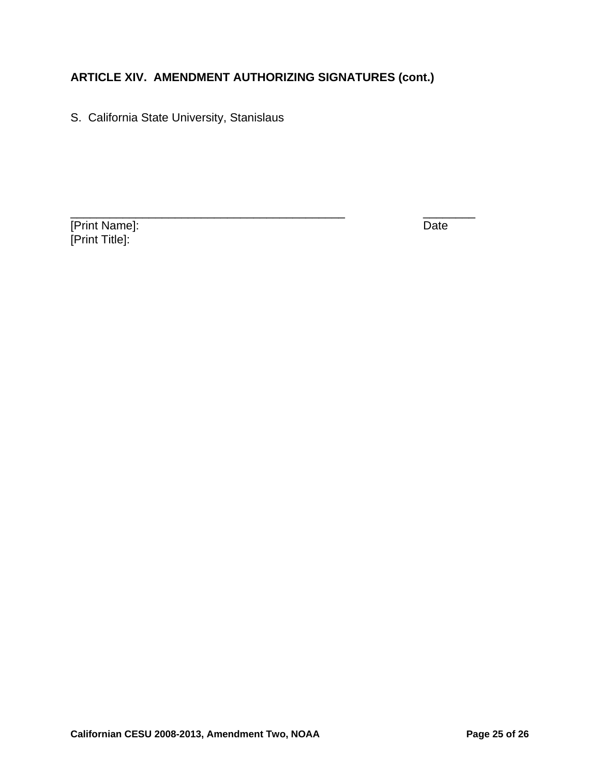S. California State University, Stanislaus

[Print Name]: Date [Print Title]: